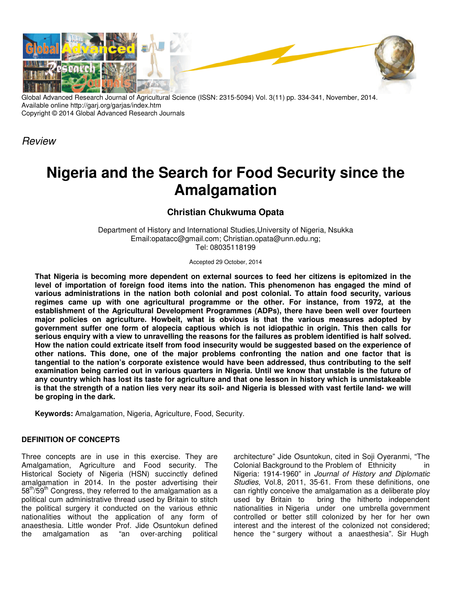

Global Advanced Research Journal of Agricultural Science (ISSN: 2315-5094) Vol. 3(11) pp. 334-341, November, 2014. Available online http://garj.org/garjas/index.htm Copyright © 2014 Global Advanced Research Journals

Review

# **Nigeria and the Search for Food Security since the Amalgamation**

# **Christian Chukwuma Opata**

Department of History and International Studies,University of Nigeria, Nsukka Email:opatacc@gmail.com; Christian.opata@unn.edu.ng; Tel: 08035118199

Accepted 29 October, 2014

**That Nigeria is becoming more dependent on external sources to feed her citizens is epitomized in the level of importation of foreign food items into the nation. This phenomenon has engaged the mind of various administrations in the nation both colonial and post colonial. To attain food security, various regimes came up with one agricultural programme or the other. For instance, from 1972, at the establishment of the Agricultural Development Programmes (ADPs), there have been well over fourteen major policies on agriculture. Howbeit, what is obvious is that the various measures adopted by government suffer one form of alopecia captious which is not idiopathic in origin. This then calls for serious enquiry with a view to unravelling the reasons for the failures as problem identified is half solved. How the nation could extricate itself from food insecurity would be suggested based on the experience of other nations. This done, one of the major problems confronting the nation and one factor that is tangential to the nation's corporate existence would have been addressed, thus contributing to the self examination being carried out in various quarters in Nigeria. Until we know that unstable is the future of any country which has lost its taste for agriculture and that one lesson in history which is unmistakeable is that the strength of a nation lies very near its soil- and Nigeria is blessed with vast fertile land- we will be groping in the dark.** 

**Keywords:** Amalgamation, Nigeria, Agriculture, Food, Security.

# **DEFINITION OF CONCEPTS**

Three concepts are in use in this exercise. They are Amalgamation, Agriculture and Food security. The Historical Society of Nigeria (HSN) succinctly defined amalgamation in 2014. In the poster advertising their  $58<sup>th</sup>/59<sup>th</sup>$  Congress, they referred to the amalgamation as a political cum administrative thread used by Britain to stitch the political surgery it conducted on the various ethnic nationalities without the application of any form of anaesthesia. Little wonder Prof. Jide Osuntokun defined the amalgamation as "an over-arching political

architecture" Jide Osuntokun, cited in Soji Oyeranmi, "The Colonial Background to the Problem of Ethnicity in Nigeria: 1914-1960" in Journal of History and Diplomatic Studies, Vol.8, 2011, 35-61. From these definitions, one can rightly conceive the amalgamation as a deliberate ploy used by Britain to bring the hitherto independent nationalities in Nigeria under one umbrella government controlled or better still colonized by her for her own interest and the interest of the colonized not considered; hence the " surgery without a anaesthesia". Sir Hugh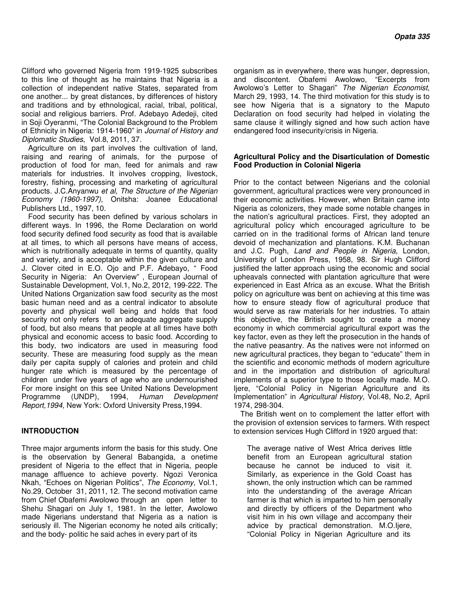Clifford who governed Nigeria from 1919-1925 subscribes to this line of thought as he maintains that Nigeria is a collection of independent native States, separated from one another... by great distances, by differences of history and traditions and by ethnological, racial, tribal, political, social and religious barriers. Prof. Adebayo Adedeji, cited in Soji Oyeranmi, "The Colonial Background to the Problem of Ethnicity in Nigeria: 1914-1960" in Journal of History and Diplomatic Studies, Vol.8, 2011, 37.

Agriculture on its part involves the cultivation of land, raising and rearing of animals, for the purpose of production of food for man, feed for animals and raw materials for industries. It involves cropping, livestock, forestry, fishing, processing and marketing of agricultural products. J.C.Anyanwu et al, The Structure of the Nigerian Economy (1960-1997), Onitsha: Joanee Educational Publishers Ltd., 1997, 10.

Food security has been defined by various scholars in different ways. In 1996, the Rome Declaration on world food security defined food security as food that is available at all times, to which all persons have means of access, which is nutritionally adequate in terms of quantity, quality and variety, and is acceptable within the given culture and J. Clover cited in E.O. Ojo and P.F. Adebayo, " Food Security in Nigeria: An Overview" , European Journal of Sustainable Development, Vol.1, No.2, 2012, 199-222. The United Nations Organization saw food security as the most basic human need and as a central indicator to absolute poverty and physical well being and holds that food security not only refers to an adequate aggregate supply of food, but also means that people at all times have both physical and economic access to basic food. According to this body, two indicators are used in measuring food security. These are measuring food supply as the mean daily per capita supply of calories and protein and child hunger rate which is measured by the percentage of children under five years of age who are undernourished For more insight on this see United Nations Development Programme (UNDP), 1994, Human Development Report,1994, New York: Oxford University Press,1994.

#### **INTRODUCTION**

Three major arguments inform the basis for this study. One is the observation by General Babangida, a onetime president of Nigeria to the effect that in Nigeria, people manage affluence to achieve poverty. Ngozi Veronica Nkah, "Echoes on Nigerian Politics", The Economy, Vol.1, No.29, October 31, 2011, 12. The second motivation came from Chief Obafemi Awolowo through an open letter to Shehu Shagari on July 1, 1981. In the letter, Awolowo made Nigerians understand that Nigeria as a nation is seriously ill. The Nigerian economy he noted ails critically; and the body- politic he said aches in every part of its

organism as in everywhere, there was hunger, depression, and discontent. Obafemi Awolowo, "Excerpts from Awolowo's Letter to Shagari" The Nigerian Economist, March 29, 1993, 14. The third motivation for this study is to see how Nigeria that is a signatory to the Maputo Declaration on food security had helped in violating the same clause it willingly signed and how such action have endangered food insecurity/crisis in Nigeria.

# **Agricultural Policy and the Disarticulation of Domestic Food Production in Colonial Nigeria**

Prior to the contact between Nigerians and the colonial government, agricultural practices were very pronounced in their economic activities. However, when Britain came into Nigeria as colonizers, they made some notable changes in the nation's agricultural practices. First, they adopted an agricultural policy which encouraged agriculture to be carried on in the traditional forms of African land tenure devoid of mechanization and plantations. K.M. Buchanan and J.C. Pugh, Land and People in Nigeria, London, University of London Press, 1958, 98. Sir Hugh Clifford justified the latter approach using the economic and social upheavals connected with plantation agriculture that were experienced in East Africa as an excuse. What the British policy on agriculture was bent on achieving at this time was how to ensure steady flow of agricultural produce that would serve as raw materials for her industries. To attain this objective, the British sought to create a money economy in which commercial agricultural export was the key factor, even as they left the prosecution in the hands of the native peasantry. As the natives were not informed on new agricultural practices, they began to "educate" them in the scientific and economic methods of modern agriculture and in the importation and distribution of agricultural implements of a superior type to those locally made. M.O. Ijere, "Colonial Policy in Nigerian Agriculture and its Implementation" in Agricultural History, Vol.48, No.2, April 1974, 298-304.

The British went on to complement the latter effort with the provision of extension services to farmers. With respect to extension services Hugh Clifford in 1920 argued that:

The average native of West Africa derives little benefit from an European agricultural station because he cannot be induced to visit it. Similarly, as experience in the Gold Coast has shown, the only instruction which can be rammed into the understanding of the average African farmer is that which is imparted to him personally and directly by officers of the Department who visit him in his own village and accompany their advice by practical demonstration. M.O.Ijere, "Colonial Policy in Nigerian Agriculture and its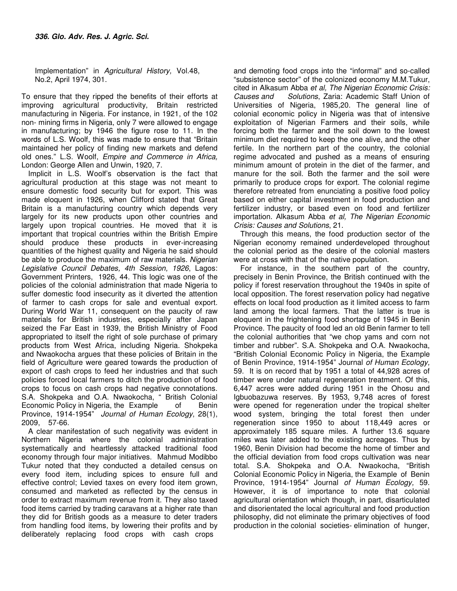Implementation" in Agricultural History, Vol.48, No.2, April 1974, 301.

To ensure that they ripped the benefits of their efforts at improving agricultural productivity, Britain restricted manufacturing in Nigeria. For instance, in 1921, of the 102 non- mining firms in Nigeria, only 7 were allowed to engage in manufacturing; by 1946 the figure rose to 11. In the words of L.S. Woolf, this was made to ensure that "Britain maintained her policy of finding new markets and defend old ones." L.S. Woolf, Empire and Commerce in Africa, London: George Allen and Unwin, 1920, 7.

Implicit in L.S. Woolf's observation is the fact that agricultural production at this stage was not meant to ensure domestic food security but for export. This was made eloquent in 1926, when Clifford stated that Great Britain is a manufacturing country which depends very largely for its new products upon other countries and largely upon tropical countries. He moved that it is important that tropical countries within the British Empire should produce these products in ever-increasing quantities of the highest quality and Nigeria he said should be able to produce the maximum of raw materials. Nigerian Legislative Council Debates, 4th Session, 1926, Lagos: Government Printers, 1926, 44. This logic was one of the policies of the colonial administration that made Nigeria to suffer domestic food insecurity as it diverted the attention of farmer to cash crops for sale and eventual export. During World War 11, consequent on the paucity of raw materials for British industries, especially after Japan seized the Far East in 1939, the British Ministry of Food appropriated to itself the right of sole purchase of primary products from West Africa, including Nigeria. Shokpeka and Nwaokocha argues that these policies of Britain in the field of Agriculture were geared towards the production of export of cash crops to feed her industries and that such policies forced local farmers to ditch the production of food crops to focus on cash crops had negative connotations. S.A. Shokpeka and O.A. Nwaokocha, " British Colonial Economic Policy in Nigeria, the Example of Benin Province, 1914-1954" Journal of Human Ecology, 28(1), 2009, 57-66.

A clear manifestation of such negativity was evident in Northern Nigeria where the colonial administration systematically and heartlessly attacked traditional food economy through four major initiatives. Mahmud Modibbo Tukur noted that they conducted a detailed census on every food item, including spices to ensure full and effective control; Levied taxes on every food item grown, consumed and marketed as reflected by the census in order to extract maximum revenue from it. They also taxed food items carried by trading caravans at a higher rate than they did for British goods as a measure to deter traders from handling food items, by lowering their profits and by deliberately replacing food crops with cash crops

and demoting food crops into the "informal" and so-called "subsistence sector" of the colonized economy M.M.Tukur, cited in Alkasum Abba et al, The Nigerian Economic Crisis: Causes and Solutions, Zaria: Academic Staff Union of Universities of Nigeria, 1985,20. The general line of colonial economic policy in Nigeria was that of intensive exploitation of Nigerian Farmers and their soils, while forcing both the farmer and the soil down to the lowest minimum diet required to keep the one alive, and the other fertile. In the northern part of the country, the colonial regime advocated and pushed as a means of ensuring minimum amount of protein in the diet of the farmer, and manure for the soil. Both the farmer and the soil were primarily to produce crops for export. The colonial regime therefore retreated from enunciating a positive food policy based on either capital investment in food production and fertilizer industry, or based even on food and fertilizer importation. Alkasum Abba et al, The Nigerian Economic Crisis: Causes and Solutions, 21.

Through this means, the food production sector of the Nigerian economy remained underdeveloped throughout the colonial period as the desire of the colonial masters were at cross with that of the native population.

For instance, in the southern part of the country, precisely in Benin Province, the British continued with the policy if forest reservation throughout the 1940s in spite of local opposition. The forest reservation policy had negative effects on local food production as it limited access to farm land among the local farmers. That the latter is true is eloquent in the frightening food shortage of 1945 in Benin Province. The paucity of food led an old Benin farmer to tell the colonial authorities that "we chop yams and corn not timber and rubber". S.A. Shokpeka and O.A. Nwaokocha, "British Colonial Economic Policy in Nigeria, the Example of Benin Province, 1914-1954" Journal of Human Ecology, 59. It is on record that by 1951 a total of 44,928 acres of timber were under natural regeneration treatment. Of this, 6,447 acres were added during 1951 in the Ohosu and Igbuobazuwa reserves. By 1953, 9,748 acres of forest were opened for regeneration under the tropical shelter wood system, bringing the total forest then under regeneration since 1950 to about 118,449 acres or approximately 185 square miles. A further 13.6 square miles was later added to the existing acreages. Thus by 1960, Benin Division had become the home of timber and the official deviation from food crops cultivation was near total. S.A. Shokpeka and O.A. Nwaokocha, "British Colonial Economic Policy in Nigeria, the Example of Benin Province, 1914-1954" Journal of Human Ecology, 59. However, it is of importance to note that colonial agricultural orientation which though, in part, disarticulated and disorientated the local agricultural and food production philosophy, did not eliminate the primary objectives of food production in the colonial societies- elimination of hunger,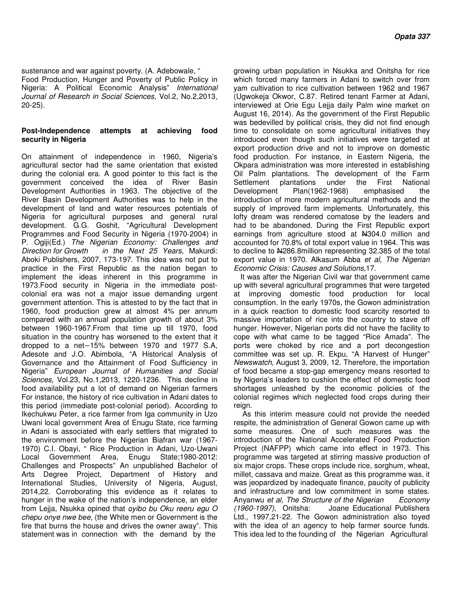sustenance and war against poverty. (A. Adebowale, " Food Production, Hunger and Poverty of Public Policy in Nigeria: A Political Economic Analysis" International Journal of Research in Social Sciences, Vol.2, No.2,2013, 20-25).

# **Post-Independence attempts at achieving food security in Nigeria**

On attainment of independence in 1960, Nigeria's agricultural sector had the same orientation that existed during the colonial era. A good pointer to this fact is the government conceived the idea of River Basin Development Authorities in 1963. The objective of the River Basin Development Authorities was to help in the development of land and water resources potentials of Nigeria for agricultural purposes and general rural development. G.G. Goshit, "Agricultural Development Programmes and Food Security in Nigeria (1970-2004) in P. Ogiji(Ed.) The Nigerian Economy: Challenges and Direction for Growth in the Next 25 Years, Makurdi: Aboki Publishers, 2007, 173-197. This idea was not put to practice in the First Republic as the nation began to implement the ideas inherent in this programme in 1973.Food security in Nigeria in the immediate postcolonial era was not a major issue demanding urgent government attention. This is attested to by the fact that in 1960, food production grew at almost 4% per annum compared with an annual population growth of about 3% between 1960-1967.From that time up till 1970, food situation in the country has worsened to the extent that it dropped to a net−15% between 1970 and 1977 S.A, Adesote and J.O. Abimbola, "A Historical Analysis of Governance and the Attainment of Food Sufficiency in Nigeria" European Journal of Humanities and Social Sciences, Vol.23, No.1,2013, 1220-1236. This decline in food availability put a lot of demand on Nigerian farmers For instance, the history of rice cultivation in Adani dates to this period (immediate post-colonial period). According to Ikechukwu Peter, a rice farmer from Iga community in Uzo Uwani local government Area of Enugu State, rice farming in Adani is associated with early settlers that migrated to the environment before the Nigerian Biafran war (1967- 1970) C.I. Obayi, " Rice Production in Adani, Uzo-Uwani Local Government Area, Enugu State;1980-2012: Challenges and Prospects" An unpublished Bachelor of Arts Degree Project, Department of History and International Studies, University of Nigeria, August, 2014,22. Corroborating this evidence as it relates to hunger in the wake of the nation's independence, an elder from Lejja, Nsukka opined that oyibo bu Oku reeru egu O chepu onye nwe bee, (the White men or Government is the fire that burns the house and drives the owner away". This statement was in connection with the demand by the

growing urban population in Nsukka and Onitsha for rice which forced many farmers in Adani to switch over from yam cultivation to rice cultivation between 1962 and 1967 (Ugwokeja Okwor, C.87. Retired tenant Farmer at Adani, interviewed at Orie Egu Lejja daily Palm wine market on August 16, 2014). As the government of the First Republic was bedevilled by political crisis, they did not find enough time to consolidate on some agricultural initiatives they introduced even though such initiatives were targeted at export production drive and not to improve on domestic food production. For instance, in Eastern Nigeria, the Okpara administration was more interested in establishing Oil Palm plantations. The development of the Farm Settlement plantations under the First National Development Plan(1962-1968) emphasised the introduction of more modern agricultural methods and the supply of improved farm implements. Unfortunately, this lofty dream was rendered comatose by the leaders and had to be abandoned. During the First Republic export earnings from agriculture stood at N304.0 million and accounted for 70.8% of total export value in 1964. This was to decline to N4286.8million representing 32.385 of the total export value in 1970. Alkasum Abba et al, The Nigerian Economic Crisis: Causes and Solutions,17.

It was after the Nigerian Civil war that government came up with several agricultural programmes that were targeted at improving domestic food production for local consumption. In the early 1970s, the Gowon administration in a quick reaction to domestic food scarcity resorted to massive importation of rice into the country to stave off hunger. However, Nigerian ports did not have the facility to cope with what came to be tagged "Rice Amada". The ports were choked by rice and a port decongestion committee was set up. R. Ekpu, "A Harvest of Hunger" Newswatch, August 3, 2009, 12. Therefore, the importation of food became a stop-gap emergency means resorted to by Nigeria's leaders to cushion the effect of domestic food shortages unleashed by the economic policies of the colonial regimes which neglected food crops during their reign.

 As this interim measure could not provide the needed respite, the administration of General Gowon came up with some measures. One of such measures was the introduction of the National Accelerated Food Production Project (NAFPP) which came into effect in 1973. This programme was targeted at stirring massive production of six major crops. These crops include rice, sorghum, wheat, millet, cassava and maize. Great as this programme was, it was jeopardized by inadequate finance, paucity of publicity and infrastructure and low commitment in some states. Anyanwu et al, The Structure of the Nigerian Economy (1960-1997), Onitsha: Joane Educational Publishers Ltd., 1997,21-22. The Gowon administration also toyed with the idea of an agency to help farmer source funds. This idea led to the founding of the Nigerian Agricultural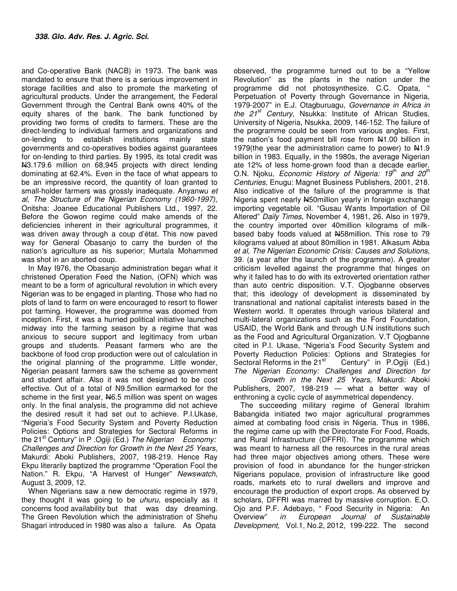and Co-operative Bank (NACB) in 1973. The bank was mandated to ensure that there is a serious improvement in storage facilities and also to promote the marketing of agricultural products. Under the arrangement, the Federal Government through the Central Bank owns 40% of the equity shares of the bank. The bank functioned by providing two forms of credits to farmers. These are the direct-lending to individual farmers and organizations and on-lending to establish institutions mainly state governments and co-operatives bodies against guarantees for on-lending to third parties. By 1995, its total credit was N<sub>3.179.6</sub> million on 68,945 projects with direct lending dominating at 62.4%. Even in the face of what appears to be an impressive record, the quantity of loan granted to small-holder farmers was grossly inadequate. Anyanwu et al, The Structure of the Nigerian Economy (1960-1997), Onitsha: Joanee Educational Publishers Ltd., 1997, 22. Before the Gowon regime could make amends of the deficiencies inherent in their agricultural programmes, it was driven away through a coup d'état. This now paved way for General Obasanjo to carry the burden of the nation's agriculture as his superior; Murtala Mohammed was shot in an aborted coup.

In May I976, the Obasanjo administration began what it christened Operation Feed the Nation, (OFN) which was meant to be a form of agricultural revolution in which every Nigerian was to be engaged in planting. Those who had no plots of land to farm on were encouraged to resort to flower pot farming. However, the programme was doomed from inception. First, it was a hurried political initiative launched midway into the farming season by a regime that was anxious to secure support and legitimacy from urban groups and students. Peasant farmers who are the backbone of food crop production were out of calculation in the original planning of the programme. Little wonder, Nigerian peasant farmers saw the scheme as government and student affair. Also it was not designed to be cost effective. Out of a total of N9.5million earmarked for the scheme in the first year,  $N6.5$  million was spent on wages only. In the final analysis, the programme did not achieve the desired result it had set out to achieve. P.I.Ukase, "Nigeria's Food Security System and Poverty Reduction Policies: Options and Strategies for Sectoral Reforms in the 21<sup>st</sup> Century" in P .Ogiji (Ed.) The Nigerian Economy: Challenges and Direction for Growth in the Next 25 Years, Makurdi: Aboki Publishers, 2007, 198-219. Hence Ray Ekpu literarily baptized the programme "Operation Fool the Nation." R. Ekpu, "A Harvest of Hunger" Newswatch, August 3, 2009, 12.

When Nigerians saw a new democratic regime in 1979, they thought it was going to be *uhuru*, especially as it concerns food availability but that was day dreaming. The Green Revolution which the administration of Shehu Shagari introduced in 1980 was also a failure. As Opata

observed, the programme turned out to be a "Yellow Revolution" as the plants in the nation under the programme did not photosynthesize. C.C. Opata, " Perpetuation of Poverty through Governance in Nigeria, 1979-2007" in E.J. Otagburuagu, Governance in Africa in the  $21^{st}$  Century, Nsukka: Institute of African Studies, University of Nigeria, Nsukka, 2009, 146-152. The failure of the programme could be seen from various angles. First, the nation's food payment bill rose from N1.00 billion in 1979(the year the administration came to power) to  $\text{H1.9}$ billion in 1983. Equally, in the 1980s, the average Nigerian ate 12% of less home-grown food than a decade earlier. O.N. Njoku, Economic History of Nigeria: 19<sup>th</sup> and 20<sup>th</sup> Centuries, Enugu: Magnet Business Publishers, 2001, 218. Also indicative of the failure of the programme is that Nigeria spent nearly A50million yearly in foreign exchange importing vegetable oil. "Gusau Wants Importation of Oil Altered" Daily Times, November 4, 1981, 26. Also in 1979, the country imported over 40million kilograms of milkbased baby foods valued at N58million. This rose to 79 kilograms valued at about 80million in 1981. Alkasum Abba et al, The Nigerian Economic Crisis: Causes and Solutions, 39. (a year after the launch of the programme). A greater criticism levelled against the programme that hinges on why it failed has to do with its extroverted orientation rather than auto centric disposition. V.T. Ojogbanne observes that; this ideology of development is disseminated by transnational and national capitalist interests based in the Western world. It operates through various bilateral and multi-lateral organizations such as the Ford Foundation, USAID, the World Bank and through U.N institutions such as the Food and Agricultural Organization. V.T Ojogbanne cited in P.I. Ukase, "Nigeria's Food Security System and Poverty Reduction Policies: Options and Strategies for Sectoral Reforms in the 21<sup>st</sup> Century" in P.Ogiji (Ed.) Sectoral Reforms in the 21 $\mathrm{^{st}}$ The Nigerian Economy: Challenges and Direction for

 Growth in the Next 25 Years, Makurdi: Aboki Publishers, 2007, 198-219 — what a better way of enthroning a cyclic cycle of asymmetrical dependency.

The succeeding military regime of General Ibrahim Babangida initiated two major agricultural programmes aimed at combating food crisis in Nigeria. Thus in 1986, the regime came up with the Directorate For Food, Roads, and Rural Infrastructure (DFFRI). The programme which was meant to harness all the resources in the rural areas had three major objectives among others. These were provision of food in abundance for the hunger-stricken Nigerians populace, provision of infrastructure like good roads, markets etc to rural dwellers and improve and encourage the production of export crops. As observed by scholars, DFFRI was marred by massive corruption. E.O. Ojo and P.F. Adebayo, " Food Security in Nigeria: An<br>Overview" in European Journal of Sustainable European Journal of Sustainable Development, Vol.1, No.2, 2012, 199-222. The second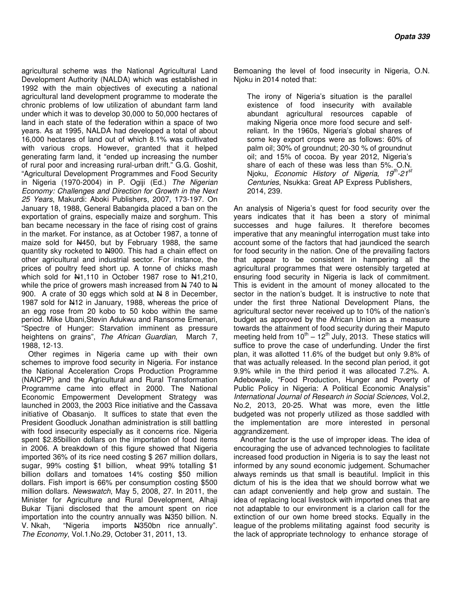agricultural scheme was the National Agricultural Land Development Authority (NALDA) which was established in 1992 with the main objectives of executing a national agricultural land development programme to moderate the chronic problems of low utilization of abundant farm land under which it was to develop 30,000 to 50,000 hectares of land in each state of the federation within a space of two years. As at 1995, NALDA had developed a total of about 16,000 hectares of land out of which 8.1% was cultivated with various crops. However, granted that it helped generating farm land, it "ended up increasing the number of rural poor and increasing rural-urban drift." G.G. Goshit, "Agricultural Development Programmes and Food Security in Nigeria (1970-2004) in P. Ogiji (Ed.) The Nigerian Economy: Challenges and Direction for Growth in the Next 25 Years, Makurdi: Aboki Publishers, 2007, 173-197. On January 18, 1988, General Babangida placed a ban on the exportation of grains, especially maize and sorghum. This ban became necessary in the face of rising cost of grains in the market. For instance, as at October 1987, a tonne of maize sold for N450, but by February 1988, the same quantity sky rocketed to N900. This had a chain effect on other agricultural and industrial sector. For instance, the prices of poultry feed short up. A tonne of chicks mash which sold for  $\frac{111110}{10}$  in October 1987 rose to  $\frac{11210}{100}$ , while the price of growers mash increased from  $N$  740 to  $N$ 900. A crate of 30 eggs which sold at  $\cancel{\text{A}}$  8 in December, 1987 sold for N<sub>12</sub> in January, 1988, whereas the price of an egg rose from 20 kobo to 50 kobo within the same period. Mike Ubani,Stevin Adukwu and Ransome Emenari, "Spectre of Hunger: Starvation imminent as pressure heightens on grains", The African Guardian, March 7, 1988, 12-13.

Other regimes in Nigeria came up with their own schemes to improve food security in Nigeria. For instance the National Acceleration Crops Production Programme (NAICPP) and the Agricultural and Rural Transformation Programme came into effect in 2000. The National Economic Empowerment Development Strategy was launched in 2003, the 2003 Rice initiative and the Cassava initiative of Obasanjo. It suffices to state that even the President Goodluck Jonathan administration is still battling with food insecurity especially as it concerns rice. Nigeria spent \$2.85billion dollars on the importation of food items in 2006. A breakdown of this figure showed that Nigeria imported 36% of its rice need costing \$ 267 million dollars, sugar, 99% costing \$1 billion, wheat 99% totalling \$1 billion dollars and tomatoes 14% costing \$50 million dollars. Fish import is 66% per consumption costing \$500 million dollars. Newswatch, May 5, 2008, 27. In 2011, the Minister for Agriculture and Rural Development, Alhaji Bukar Tijani disclosed that the amount spent on rice importation into the country annually was N350 billion. N. V. Nkah, "Nigeria imports N350bn rice annually". The Economy, Vol.1.No.29, October 31, 2011, 13.

Bemoaning the level of food insecurity in Nigeria, O.N. Njoku in 2014 noted that:

The irony of Nigeria's situation is the parallel existence of food insecurity with available abundant agricultural resources capable of making Nigeria once more food secure and selfreliant. In the 1960s, Nigeria's global shares of some key export crops were as follows: 60% of palm oil; 30% of groundnut; 20-30 % of groundnut oil; and 15% of cocoa. By year 2012, Nigeria's share of each of these was less than 5%. O.N. Njoku, Economic History of Nigeria, 19<sup>th</sup>-21<sup>st</sup> Centuries, Nsukka: Great AP Express Publishers, 2014, 239.

An analysis of Nigeria's quest for food security over the years indicates that it has been a story of minimal successes and huge failures. It therefore becomes imperative that any meaningful interrogation must take into account some of the factors that had jaundiced the search for food security in the nation. One of the prevailing factors that appear to be consistent in hampering all the agricultural programmes that were ostensibly targeted at ensuring food security in Nigeria is lack of commitment. This is evident in the amount of money allocated to the sector in the nation's budget. It is instructive to note that under the first three National Development Plans, the agricultural sector never received up to 10% of the nation's budget as approved by the African Union as a measure towards the attainment of food security during their Maputo meeting held from  $10^{th} - 12^{th}$  July, 2013. These statics will suffice to prove the case of underfunding. Under the first plan, it was allotted 11.6% of the budget but only 9.8% of that was actually released. In the second plan period, it got 9.9% while in the third period it was allocated 7.2%. A. Adebowale, "Food Production, Hunger and Poverty of Public Policy in Nigeria: A Political Economic Analysis" International Journal of Research in Social Sciences, Vol.2, No.2, 2013, 20-25. What was more, even the little budgeted was not properly utilized as those saddled with the implementation are more interested in personal aggrandizement.

Another factor is the use of improper ideas. The idea of encouraging the use of advanced technologies to facilitate increased food production in Nigeria is to say the least not informed by any sound economic judgement. Schumacher always reminds us that small is beautiful. Implicit in this dictum of his is the idea that we should borrow what we can adapt conveniently and help grow and sustain. The idea of replacing local livestock with imported ones that are not adaptable to our environment is a clarion call for the extinction of our own home breed stocks. Equally in the league of the problems militating against food security is the lack of appropriate technology to enhance storage of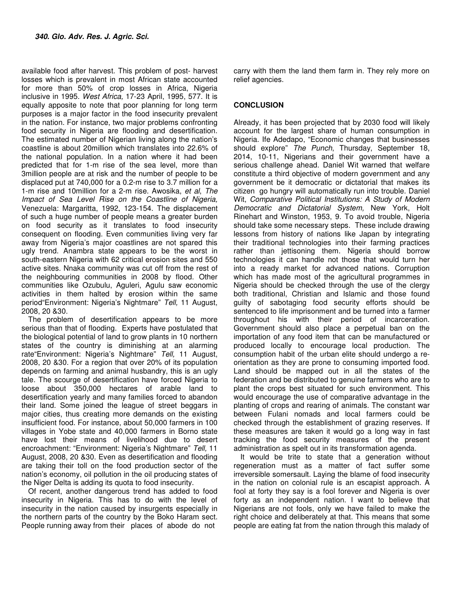available food after harvest. This problem of post- harvest losses which is prevalent in most African state accounted for more than 50% of crop losses in Africa, Nigeria inclusive in 1995. West Africa, 17-23 April, 1995, 577. It is equally apposite to note that poor planning for long term purposes is a major factor in the food insecurity prevalent in the nation. For instance, two major problems confronting food security in Nigeria are flooding and desertification. The estimated number of Nigerian living along the nation's coastline is about 20million which translates into 22.6% of the national population. In a nation where it had been predicted that for 1-m rise of the sea level, more than 3million people are at risk and the number of people to be displaced put at 740,000 for a 0.2-m rise to 3.7 million for a 1-m rise and 10million for a 2-m rise. Awosika, et al, The Impact of Sea Level Rise on the Coastline of Nigeria, Venezuela: Margaritta, 1992, 123-154. The displacement of such a huge number of people means a greater burden on food security as it translates to food insecurity consequent on flooding. Even communities living very far away from Nigeria's major coastlines are not spared this ugly trend. Anambra state appears to be the worst in south-eastern Nigeria with 62 critical erosion sites and 550 active sites. Nnaka community was cut off from the rest of the neighbouring communities in 2008 by flood. Other communities like Ozubulu, Aguleri, Agulu saw economic activities in them halted by erosion within the same period"Environment: Nigeria's Nightmare" Tell, 11 August, 2008, 20 &30.

The problem of desertification appears to be more serious than that of flooding. Experts have postulated that the biological potential of land to grow plants in 10 northern states of the country is diminishing at an alarming rate Environment: Nigeria's Nightmare" Tell, 11 August, 2008, 20 &30. For a region that over 20% of its population depends on farming and animal husbandry, this is an ugly tale. The scourge of desertification have forced Nigeria to loose about 350,000 hectares of arable land to desertification yearly and many families forced to abandon their land. Some joined the league of street beggars in major cities, thus creating more demands on the existing insufficient food. For instance, about 50,000 farmers in 100 villages in Yobe state and 40,000 farmers in Borno state have lost their means of livelihood due to desert encroachment: "Environment: Nigeria's Nightmare" Tell, 11 August, 2008, 20 &30. Even as desertification and flooding are taking their toll on the food production sector of the nation's economy, oil pollution in the oil producing states of the Niger Delta is adding its quota to food insecurity.

Of recent, another dangerous trend has added to food insecurity in Nigeria. This has to do with the level of insecurity in the nation caused by insurgents especially in the northern parts of the country by the Boko Haram sect. People running away from their places of abode do not

carry with them the land them farm in. They rely more on relief agencies.

# **CONCLUSION**

Already, it has been projected that by 2030 food will likely account for the largest share of human consumption in Nigeria. Ife Adedapo, "Economic changes that businesses should explore" The Punch, Thursday, September 18, 2014, 10-11, Nigerians and their government have a serious challenge ahead. Daniel Wit warned that welfare constitute a third objective of modern government and any government be it democratic or dictatorial that makes its citizen go hungry will automatically run into trouble. Daniel Wit, Comparative Political Institutions: A Study of Modern Democratic and Dictatorial System, New York, Holt Rinehart and Winston, 1953, 9. To avoid trouble, Nigeria should take some necessary steps. These include drawing lessons from history of nations like Japan by integrating their traditional technologies into their farming practices rather than jettisoning them. Nigeria should borrow technologies it can handle not those that would turn her into a ready market for advanced nations. Corruption which has made most of the agricultural programmes in Nigeria should be checked through the use of the clergy both traditional, Christian and Islamic and those found guilty of sabotaging food security efforts should be sentenced to life imprisonment and be turned into a farmer throughout his with their period of incarceration. Government should also place a perpetual ban on the importation of any food item that can be manufactured or produced locally to encourage local production. The consumption habit of the urban elite should undergo a reorientation as they are prone to consuming imported food. Land should be mapped out in all the states of the federation and be distributed to genuine farmers who are to plant the crops best situated for such environment. This would encourage the use of comparative advantage in the planting of crops and rearing of animals. The constant war between Fulani nomads and local farmers could be checked through the establishment of grazing reserves. If these measures are taken it would go a long way in fast tracking the food security measures of the present administration as spelt out in its transformation agenda.

It would be trite to state that a generation without regeneration must as a matter of fact suffer some irreversible somersault. Laying the blame of food insecurity in the nation on colonial rule is an escapist approach. A fool at forty they say is a fool forever and Nigeria is over forty as an independent nation. I want to believe that Nigerians are not fools, only we have failed to make the right choice and deliberately at that. This means that some people are eating fat from the nation through this malady of